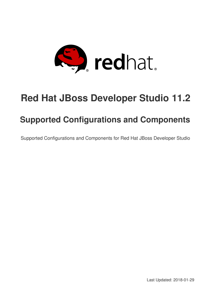

# **Red Hat JBoss Developer Studio 11.2**

## **Supported Configurations and Components**

Supported Configurations and Components for Red Hat JBoss Developer Studio

Last Updated: 2018-01-29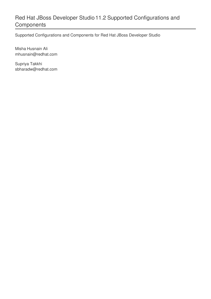## Red Hat JBoss Developer Studio 11.2 Supported Configurations and **Components**

Supported Configurations and Components for Red Hat JBoss Developer Studio

Misha Husnain Ali mhusnain@redhat.com

Supriya Takkhi sbharadw@redhat.com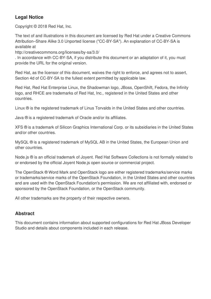#### **Legal Notice**

Copyright © 2018 Red Hat, Inc.

The text of and illustrations in this document are licensed by Red Hat under a Creative Commons Attribution–Share Alike 3.0 Unported license ("CC-BY-SA"). An explanation of CC-BY-SA is available at

http://creativecommons.org/licenses/by-sa/3.0/

. In accordance with CC-BY-SA, if you distribute this document or an adaptation of it, you must provide the URL for the original version.

Red Hat, as the licensor of this document, waives the right to enforce, and agrees not to assert, Section 4d of CC-BY-SA to the fullest extent permitted by applicable law.

Red Hat, Red Hat Enterprise Linux, the Shadowman logo, JBoss, OpenShift, Fedora, the Infinity logo, and RHCE are trademarks of Red Hat, Inc., registered in the United States and other countries.

Linux ® is the registered trademark of Linus Torvalds in the United States and other countries.

Java ® is a registered trademark of Oracle and/or its affiliates.

XFS ® is a trademark of Silicon Graphics International Corp. or its subsidiaries in the United States and/or other countries.

MySQL ® is a registered trademark of MySQL AB in the United States, the European Union and other countries.

Node.js ® is an official trademark of Joyent. Red Hat Software Collections is not formally related to or endorsed by the official Joyent Node.js open source or commercial project.

The OpenStack ® Word Mark and OpenStack logo are either registered trademarks/service marks or trademarks/service marks of the OpenStack Foundation, in the United States and other countries and are used with the OpenStack Foundation's permission. We are not affiliated with, endorsed or sponsored by the OpenStack Foundation, or the OpenStack community.

All other trademarks are the property of their respective owners.

#### **Abstract**

This document contains information about supported configurations for Red Hat JBoss Developer Studio and details about components included in each release.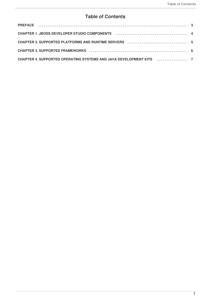#### **Table of Contents**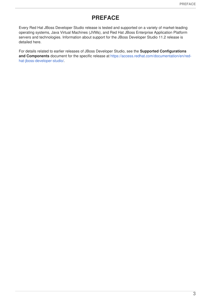#### **PREFACE**

<span id="page-6-0"></span>Every Red Hat JBoss Developer Studio release is tested and supported on a variety of market-leading operating systems, Java Virtual Machines (JVMs), and Red Hat JBoss Enterprise Application Platform servers and technologies. Information about support for the JBoss Developer Studio 11.2 release is detailed here.

For details related to earlier releases of JBoss Developer Studio, see the **Supported Configurations and Components** document for the specific release at [https://access.redhat.com/documentation/en/red](https://access.redhat.com/documentation/en/red-hat-jboss-developer-studio/)hat-jboss-developer-studio/.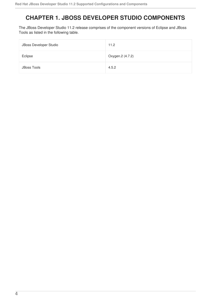## <span id="page-7-0"></span>**CHAPTER 1. JBOSS DEVELOPER STUDIO COMPONENTS**

The JBoss Developer Studio 11.2 release comprises of the component versions of Eclipse and JBoss Tools as listed in the following table.

| JBoss Developer Studio | 11.2             |
|------------------------|------------------|
| Eclipse                | Oxygen.2 (4.7.2) |
| <b>JBoss Tools</b>     | 4.5.2            |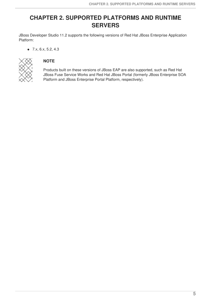### <span id="page-8-0"></span>**CHAPTER 2. SUPPORTED PLATFORMS AND RUNTIME SERVERS**

JBoss Developer Studio 11.2 supports the following versions of Red Hat JBoss Enterprise Application Platform:

 $\bullet$  7.x, 6.x, 5.2, 4.3



#### **NOTE**

Products built on these versions of JBoss EAP are also supported, such as Red Hat JBoss Fuse Service Works and Red Hat JBoss Portal (formerly JBoss Enterprise SOA Platform and JBoss Enterprise Portal Platform, respectively).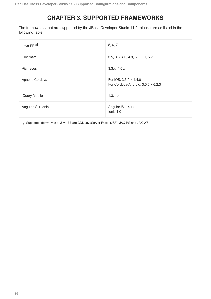## **CHAPTER 3. SUPPORTED FRAMEWORKS**

<span id="page-9-0"></span>The frameworks that are supported by the JBoss Developer Studio 11.2 release are as listed in the following table.

<span id="page-9-2"></span><span id="page-9-1"></span>

| Java EE <sup>[a]</sup>                                                                   | 5, 6, 7                                                                |  |  |
|------------------------------------------------------------------------------------------|------------------------------------------------------------------------|--|--|
| Hibernate                                                                                | 3.5, 3.6, 4.0, 4.3, 5.0, 5.1, 5.2                                      |  |  |
| Richfaces                                                                                | 3.3.x, 4.0.x                                                           |  |  |
| Apache Cordova                                                                           | For iOS: $3.5.0 \sim 4.4.0$<br>For Cordova-Android: $3.5.0 \sim 6.2.3$ |  |  |
| jQuery Mobile                                                                            | 1.3, 1.4                                                               |  |  |
| AngularJS + Ionic                                                                        | AngularJS 1.4.14<br>lonic 1.0                                          |  |  |
| [a] Supported derivatives of Java EE are CDI, JavaServer Faces (JSF), JAX-RS and JAX-WS. |                                                                        |  |  |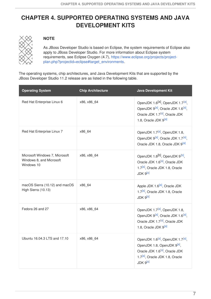## <span id="page-10-0"></span>**CHAPTER 4. SUPPORTED OPERATING SYSTEMS AND JAVA DEVELOPMENT KITS**



#### **NOTE**

<span id="page-10-1"></span>As JBoss Developer Studio is based on Eclipse, the system requirements of Eclipse also apply to JBoss Developer Studio. For more information about Eclipse system requirements, see Eclipse Oxygen (4.7), https://www.eclipse.org/projects/project[plan.php?projectid=eclipse#target\\_environments.](https://www.eclipse.org/projects/project-plan.php?projectid=eclipse#target_environments)

The operating systems, chip architectures, and Java Development Kits that are supported by the JBoss Developer Studio 11.2 release are as listed in the following table.

<span id="page-10-2"></span>

| <b>Operating System</b>                                                  | <b>Chip Architecture</b> | <b>Java Development Kit</b>                                                                                                                                                                                               |
|--------------------------------------------------------------------------|--------------------------|---------------------------------------------------------------------------------------------------------------------------------------------------------------------------------------------------------------------------|
| Red Hat Enterprise Linux 6                                               | x86, x86 64              | OpenJDK 1.6 <sup>[a]</sup> , OpenJDK 1.7 <sup>[a]</sup> ,<br>OpenJDK 9 <sup>[a]</sup> , Oracle JDK 1.6 <sup>[a]</sup> ,<br>Oracle JDK 1.7 <sup>[a]</sup> , Oracle JDK<br>1.8, Oracle JDK 9 <sup>[a]</sup>                 |
| Red Hat Enterprise Linux 7                                               | x86_64                   | OpenJDK 1.7 <sup>[a]</sup> , OpenJDK 1.8,<br>OpenJDK 9 <sup>[a]</sup> , Oracle JDK 1.7 <sup>[a]</sup> ,<br>Oracle JDK 1.8, Oracle JDK 9 <sup>[a]</sup>                                                                    |
| Microsoft Windows 7, Microsoft<br>Windows 8, and Microsoft<br>Windows 10 | x86, x86 64              | OpenJDK 1.8 <sup>[b]</sup> , OpenJDK 9 <sup>[b]</sup> ,<br>Oracle JDK 1.6 <sup>[a]</sup> , Oracle JDK<br>1.7 <sup>[a]</sup> , Oracle JDK 1.8, Oracle<br>JDK 9 <sup>[a]</sup>                                              |
| macOS Sierra (10.12) and macOS<br>High Sierra (10.13)                    | x86 64                   | Apple JDK 1.6 <sup>[a]</sup> , Oracle JDK<br>1.7 <sup>[a]</sup> , Oracle JDK 1.8, Oracle<br>JDK 9 <sup>[a]</sup>                                                                                                          |
| Fedora 26 and 27                                                         | x86, x86 64              | OpenJDK 1.7 <sup>[a]</sup> , OpenJDK 1.8,<br>OpenJDK 9 <sup>[a]</sup> , Oracle JDK 1.6 <sup>[a]</sup> ,<br>Oracle JDK 1.7 <sup>[a]</sup> , Oracle JDK<br>1.8, Oracle JDK 9[a]                                             |
| Ubuntu 16.04.3 LTS and 17.10                                             | x86, x86 64              | OpenJDK 1.6 <sup>[a]</sup> , OpenJDK 1.7 <sup>[a]</sup> ,<br>OpenJDK 1.8, OpenJDK 9 <sup>[a]</sup> ,<br>Oracle JDK 1.6 <sup>[a]</sup> , Oracle JDK<br>1.7 <sup>[a]</sup> , Oracle JDK 1.8, Oracle<br>JDK 9 <sup>[a]</sup> |